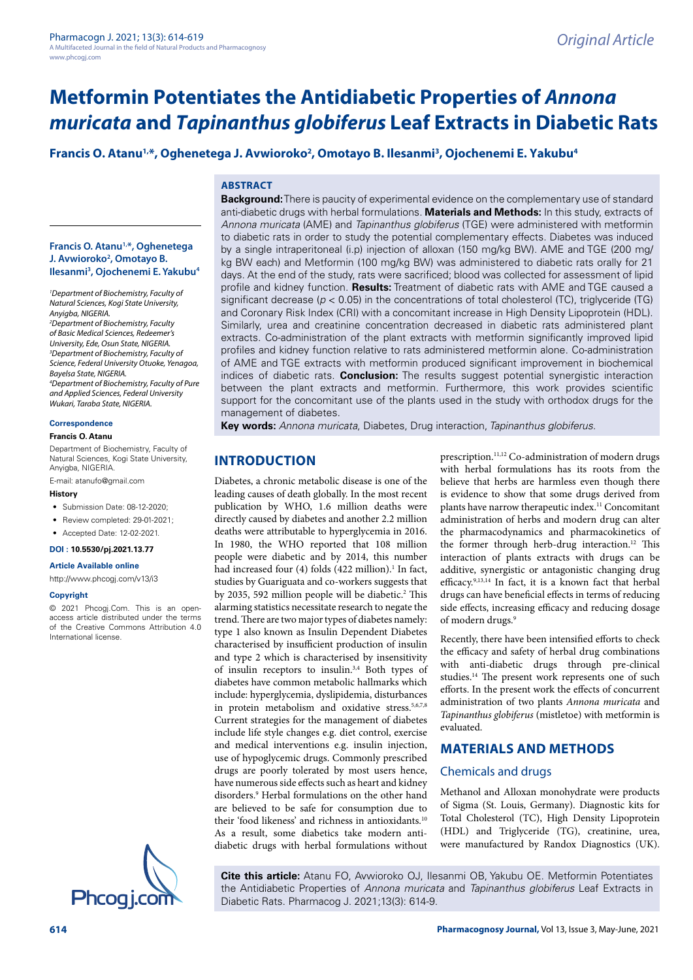# **Metformin Potentiates the Antidiabetic Properties of** *Annona muricata* **and** *Tapinanthus globiferus* **Leaf Extracts in Diabetic Rats**

# Francis O. Atanu<sup>1,</sup>\*, Oghenetega J. Avwioroko<sup>2</sup>, Omotayo B. Ilesanmi<sup>3</sup>, Ojochenemi E. Yakubu<sup>4</sup>

### **ABSTRACT**

**Background:** There is paucity of experimental evidence on the complementary use of standard anti-diabetic drugs with herbal formulations. **Materials and Methods:** In this study, extracts of *Annona muricata* (AME) and *Tapinanthus globiferus* (TGE) were administered with metformin to diabetic rats in order to study the potential complementary effects. Diabetes was induced by a single intraperitoneal (i.p) injection of alloxan (150 mg/kg BW). AME and TGE (200 mg/ kg BW each) and Metformin (100 mg/kg BW) was administered to diabetic rats orally for 21 days. At the end of the study, rats were sacrificed; blood was collected for assessment of lipid profile and kidney function. **Results:** Treatment of diabetic rats with AME and TGE caused a significant decrease (*p* < 0.05) in the concentrations of total cholesterol (TC), triglyceride (TG) and Coronary Risk Index (CRI) with a concomitant increase in High Density Lipoprotein (HDL). Similarly, urea and creatinine concentration decreased in diabetic rats administered plant extracts. Co-administration of the plant extracts with metformin significantly improved lipid profiles and kidney function relative to rats administered metformin alone. Co-administration of AME and TGE extracts with metformin produced significant improvement in biochemical indices of diabetic rats. **Conclusion:** The results suggest potential synergistic interaction between the plant extracts and metformin. Furthermore, this work provides scientific support for the concomitant use of the plants used in the study with orthodox drugs for the management of diabetes.

**Key words:** *Annona muricata*, Diabetes, Drug interaction, *Tapinanthus globiferus.*

# **INTRODUCTION**

Diabetes, a chronic metabolic disease is one of the leading causes of death globally. In the most recent publication by WHO, 1.6 million deaths were directly caused by diabetes and another 2.2 million deaths were attributable to hyperglycemia in 2016. In 1980, the WHO reported that 108 million people were diabetic and by 2014, this number had increased four (4) folds (422 million).<sup>1</sup> In fact, studies by Guariguata and co-workers suggests that by 2035, 592 million people will be diabetic.<sup>2</sup> This alarming statistics necessitate research to negate the trend. There are two major types of diabetes namely: type 1 also known as Insulin Dependent Diabetes characterised by insufficient production of insulin and type 2 which is characterised by insensitivity of insulin receptors to insulin.3,4 Both types of diabetes have common metabolic hallmarks which include: hyperglycemia, dyslipidemia, disturbances in protein metabolism and oxidative stress.<sup>5,6,7,8</sup> Current strategies for the management of diabetes include life style changes e.g. diet control, exercise and medical interventions e.g. insulin injection, use of hypoglycemic drugs. Commonly prescribed drugs are poorly tolerated by most users hence, have numerous side effects such as heart and kidney disorders.9 Herbal formulations on the other hand are believed to be safe for consumption due to their 'food likeness' and richness in antioxidants.10 As a result, some diabetics take modern antidiabetic drugs with herbal formulations without

prescription.<sup>11,12</sup> Co-administration of modern drugs with herbal formulations has its roots from the believe that herbs are harmless even though there is evidence to show that some drugs derived from plants have narrow therapeutic index.11 Concomitant administration of herbs and modern drug can alter the pharmacodynamics and pharmacokinetics of the former through herb-drug interaction.<sup>12</sup> This interaction of plants extracts with drugs can be additive, synergistic or antagonistic changing drug efficacy.9,13,14 In fact, it is a known fact that herbal drugs can have beneficial effects in terms of reducing side effects, increasing efficacy and reducing dosage of modern drugs.9

Recently, there have been intensified efforts to check the efficacy and safety of herbal drug combinations with anti-diabetic drugs through pre-clinical studies.14 The present work represents one of such efforts. In the present work the effects of concurrent administration of two plants *Annona muricata* and *Tapinanthus globiferus* (mistletoe) with metformin is evaluated.

# **MATERIALS AND METHODS**

## Chemicals and drugs

Methanol and Alloxan monohydrate were products of Sigma (St. Louis, Germany). Diagnostic kits for Total Cholesterol (TC), High Density Lipoprotein (HDL) and Triglyceride (TG), creatinine, urea, were manufactured by Randox Diagnostics (UK).

**Cite this article:** Atanu FO, Avwioroko OJ, Ilesanmi OB, Yakubu OE. Metformin Potentiates the Antidiabetic Properties of *Annona muricata* and *Tapinanthus globiferus* Leaf Extracts in Diabetic Rats. Pharmacog J. 2021;13(3): 614-9.

#### **Francis O. Atanu1,\*, Oghenetega J. Avwioroko2 , Omotayo B. Ilesanmi3 , Ojochenemi E. Yakubu4**

*1 Department of Biochemistry, Faculty of Natural Sciences, Kogi State University, Anyigba, NIGERIA.*

*2 Department of Biochemistry, Faculty of Basic Medical Sciences, Redeemer's University, Ede, Osun State, NIGERIA. 3 Department of Biochemistry, Faculty of Science, Federal University Otuoke, Yenagoa, Bayelsa State, NIGERIA. 4 Department of Biochemistry, Faculty of Pure and Applied Sciences, Federal University Wukari, Taraba State, NIGERIA.*

#### **Correspondence**

#### **Francis O. Atanu**

Department of Biochemistry, Faculty of Natural Sciences, Kogi State University, Anyigba, NIGERIA.

E-mail: [atanufo@gmail.com](mailto:atanufo@gmail.com)

#### **History**

- Submission Date: 08-12-2020:
- Review completed: 29-01-2021;
- Accepted Date: 12-02-2021.

# **DOI : 10.5530/pj.2021.13.77**

**Article Available online** 

#### <http://www.phcogj.com/v13/i3>

#### **Copyright**

© 2021 Phcogj.Com. This is an openaccess article distributed under the terms of the Creative Commons Attribution 4.0 International license.

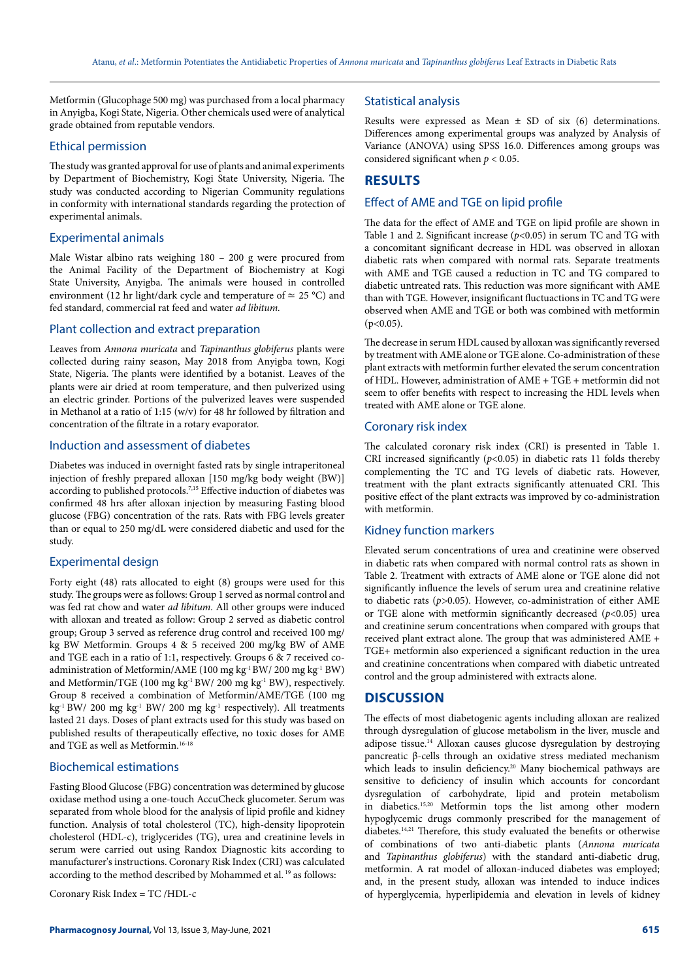Metformin (Glucophage 500 mg) was purchased from a local pharmacy in Anyigba, Kogi State, Nigeria. Other chemicals used were of analytical grade obtained from reputable vendors.

#### Ethical permission

The study was granted approval for use of plants and animal experiments by Department of Biochemistry, Kogi State University, Nigeria. The study was conducted according to Nigerian Community regulations in conformity with international standards regarding the protection of experimental animals.

#### Experimental animals

Male Wistar albino rats weighing 180 – 200 g were procured from the Animal Facility of the Department of Biochemistry at Kogi State University, Anyigba. The animals were housed in controlled environment (12 hr light/dark cycle and temperature of  $\simeq$  25 °C) and fed standard, commercial rat feed and water *ad libitum.*

#### Plant collection and extract preparation

Leaves from *Annona muricata* and *Tapinanthus globiferus* plants were collected during rainy season, May 2018 from Anyigba town, Kogi State, Nigeria. The plants were identified by a botanist. Leaves of the plants were air dried at room temperature, and then pulverized using an electric grinder. Portions of the pulverized leaves were suspended in Methanol at a ratio of 1:15 (w/v) for 48 hr followed by filtration and concentration of the filtrate in a rotary evaporator.

#### Induction and assessment of diabetes

Diabetes was induced in overnight fasted rats by single intraperitoneal injection of freshly prepared alloxan [150 mg/kg body weight (BW)] according to published protocols.<sup>7,15</sup> Effective induction of diabetes was confirmed 48 hrs after alloxan injection by measuring Fasting blood glucose (FBG) concentration of the rats. Rats with FBG levels greater than or equal to 250 mg/dL were considered diabetic and used for the study.

#### Experimental design

Forty eight (48) rats allocated to eight (8) groups were used for this study. The groups were as follows: Group 1 served as normal control and was fed rat chow and water *ad libitum.* All other groups were induced with alloxan and treated as follow: Group 2 served as diabetic control group; Group 3 served as reference drug control and received 100 mg/ kg BW Metformin. Groups 4 & 5 received 200 mg/kg BW of AME and TGE each in a ratio of 1:1, respectively. Groups 6 & 7 received coadministration of Metformin/AME (100 mg kg-1 BW/ 200 mg kg-1 BW) and Metformin/TGE (100 mg kg-1 BW/ 200 mg kg-1 BW), respectively. Group 8 received a combination of Metformin/AME/TGE (100 mg kg-1 BW/ 200 mg kg-1 BW/ 200 mg kg-1 respectively). All treatments lasted 21 days. Doses of plant extracts used for this study was based on published results of therapeutically effective, no toxic doses for AME and TGE as well as Metformin.<sup>16-18</sup>

#### Biochemical estimations

Fasting Blood Glucose (FBG) concentration was determined by glucose oxidase method using a one-touch AccuCheck glucometer. Serum was separated from whole blood for the analysis of lipid profile and kidney function. Analysis of total cholesterol (TC), high-density lipoprotein cholesterol (HDL-c), triglycerides (TG), urea and creatinine levels in serum were carried out using Randox Diagnostic kits according to manufacturer's instructions. Coronary Risk Index (CRI) was calculated according to the method described by Mohammed et al. 19 as follows:

Coronary Risk Index = TC /HDL-c

#### Statistical analysis

Results were expressed as Mean  $\pm$  SD of six (6) determinations. Differences among experimental groups was analyzed by Analysis of Variance (ANOVA) using SPSS 16.0. Differences among groups was considered significant when *p* < 0.05.

# **RESULTS**

#### Effect of AME and TGE on lipid profile

The data for the effect of AME and TGE on lipid profile are shown in Table 1 and 2. Significant increase (*p*<0.05) in serum TC and TG with a concomitant significant decrease in HDL was observed in alloxan diabetic rats when compared with normal rats. Separate treatments with AME and TGE caused a reduction in TC and TG compared to diabetic untreated rats. This reduction was more significant with AME than with TGE. However, insignificant fluctuactions in TC and TG were observed when AME and TGE or both was combined with metformin  $(p<0.05)$ .

The decrease in serum HDL caused by alloxan was significantly reversed by treatment with AME alone or TGE alone. Co-administration of these plant extracts with metformin further elevated the serum concentration of HDL. However, administration of AME + TGE + metformin did not seem to offer benefits with respect to increasing the HDL levels when treated with AME alone or TGE alone.

#### Coronary risk index

The calculated coronary risk index (CRI) is presented in Table 1. CRI increased significantly  $(p<0.05)$  in diabetic rats 11 folds thereby complementing the TC and TG levels of diabetic rats. However, treatment with the plant extracts significantly attenuated CRI. This positive effect of the plant extracts was improved by co-administration with metformin.

#### Kidney function markers

Elevated serum concentrations of urea and creatinine were observed in diabetic rats when compared with normal control rats as shown in Table 2. Treatment with extracts of AME alone or TGE alone did not significantly influence the levels of serum urea and creatinine relative to diabetic rats (*p>*0.05). However, co-administration of either AME or TGE alone with metformin significantly decreased (*p*<0.05) urea and creatinine serum concentrations when compared with groups that received plant extract alone. The group that was administered AME + TGE+ metformin also experienced a significant reduction in the urea and creatinine concentrations when compared with diabetic untreated control and the group administered with extracts alone.

### **DISCUSSION**

The effects of most diabetogenic agents including alloxan are realized through dysregulation of glucose metabolism in the liver, muscle and adipose tissue.14 Alloxan causes glucose dysregulation by destroying pancreatic β-cells through an oxidative stress mediated mechanism which leads to insulin deficiency.<sup>20</sup> Many biochemical pathways are sensitive to deficiency of insulin which accounts for concordant dysregulation of carbohydrate, lipid and protein metabolism in diabetics.15,20 Metformin tops the list among other modern hypoglycemic drugs commonly prescribed for the management of diabetes.14,21 Therefore, this study evaluated the benefits or otherwise of combinations of two anti-diabetic plants (*Annona muricata* and *Tapinanthus globiferus*) with the standard anti-diabetic drug, metformin. A rat model of alloxan-induced diabetes was employed; and, in the present study, alloxan was intended to induce indices of hyperglycemia, hyperlipidemia and elevation in levels of kidney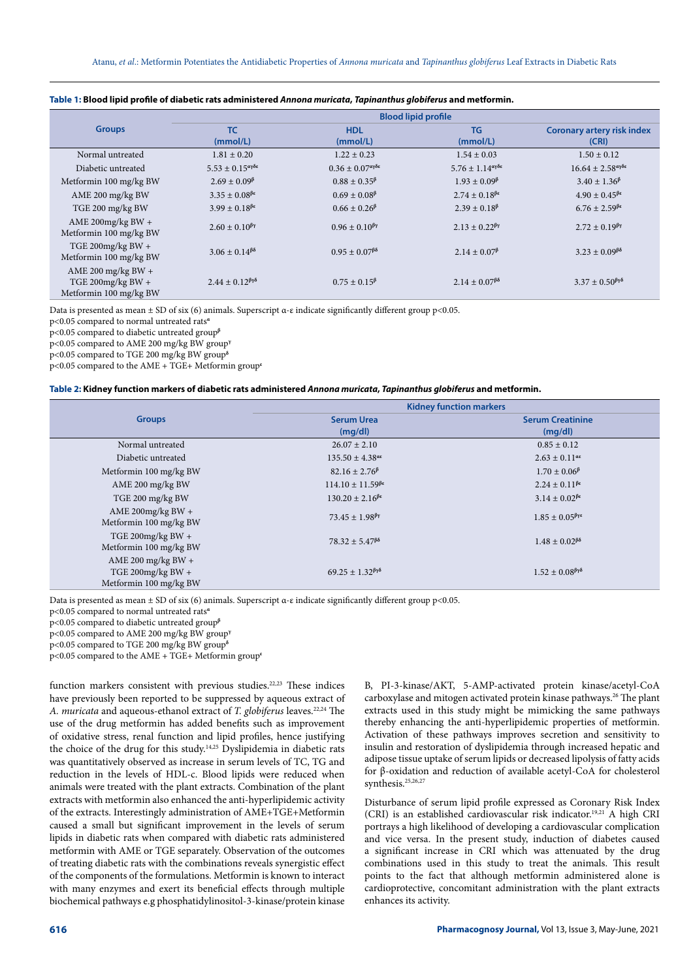|                                                                   | <b>Blood lipid profile</b>                   |                                              |                                                      |                                                           |
|-------------------------------------------------------------------|----------------------------------------------|----------------------------------------------|------------------------------------------------------|-----------------------------------------------------------|
| <b>Groups</b>                                                     | <b>TC</b><br>(mmol/L)                        | <b>HDL</b><br>(mmol/L)                       | <b>TG</b><br>(mmol/L)                                | <b>Coronary artery risk index</b><br>(CRI)                |
|                                                                   |                                              |                                              |                                                      |                                                           |
| Normal untreated                                                  | $1.81 \pm 0.20$                              | $1.22 \pm 0.23$                              | $1.54 \pm 0.03$                                      | $1.50 \pm 0.12$                                           |
| Diabetic untreated                                                | $5.53 \pm 0.15^{\alpha\gamma\delta\epsilon}$ | $0.36 \pm 0.07^{\alpha\gamma\delta\epsilon}$ | $5.76 \pm 1.14$ <sup>αγδε</sup>                      | $16.64 \pm 2.58^{\alpha\gamma\delta\epsilon}$             |
| Metformin 100 mg/kg BW                                            | $2.69 \pm 0.09^{\beta}$                      | $0.88 \pm 0.35^{\beta}$                      | $1.93 \pm 0.09^{\beta}$                              | $3.40 \pm 1.36^{\beta}$                                   |
| AME 200 mg/kg BW                                                  | $3.35 \pm 0.08^{\beta\epsilon}$              | $0.69 \pm 0.08^{\beta}$                      | $2.74 \pm 0.18^{\beta\epsilon}$                      | $4.90 \pm 0.45^{\beta \epsilon}$                          |
| TGE 200 mg/kg BW                                                  | $3.99 \pm 0.18^{\beta \epsilon}$             | $0.66 \pm 0.26^{\beta}$                      | $2.39 \pm 0.18^{\beta}$                              | $6.76 \pm 2.59^{\beta\epsilon}$                           |
| AME 200mg/kg BW +<br>Metformin 100 mg/kg BW                       | $2.60 \pm 0.10^{6\gamma}$                    | $0.96 \pm 0.10^{8}$                          | $2.13 \pm 0.22$ <sup><math>\beta \gamma</math></sup> | $2.72 \pm 0.19$ <sup><math>\beta \gamma</math></sup>      |
| TGE 200mg/kg BW +<br>Metformin 100 mg/kg BW                       | $3.06 \pm 0.14^{\beta\delta}$                | $0.95 \pm 0.07^{6\delta}$                    | $2.14 \pm 0.07^{\beta}$                              | $3.23 + 0.09^{\beta\delta}$                               |
| AME 200 mg/kg BW +<br>TGE 200mg/kg BW +<br>Metformin 100 mg/kg BW | $2.44 \pm 0.12^{\beta \gamma \delta}$        | $0.75 \pm 0.15^{\beta}$                      | $2.14 \pm 0.07^{6\delta}$                            | $3.37 \pm 0.50$ <sup><math>\beta\gamma\delta</math></sup> |

#### **Table 1: Blood lipid profile of diabetic rats administered** *Annona muricata***,** *Tapinanthus globiferus* **and metformin.**

Data is presented as mean ± SD of six (6) animals. Superscript α-ε indicate significantly different group p<0.05.

p<0.05 compared to normal untreated rats**<sup>α</sup>**

p<0.05 compared to diabetic untreated group**<sup>β</sup>**

p<0.05 compared to AME 200 mg/kg BW group**<sup>γ</sup>**

p<0.05 compared to TGE 200 mg/kg BW group**<sup>δ</sup>**

p<0.05 compared to the AME + TGE+ Metformin group**<sup>ε</sup>**

#### **Table 2: Kidney function markers of diabetic rats administered** *Annona muricata***,** *Tapinanthus globiferus* **and metformin.**

|                                                                   | <b>Kidney function markers</b>                               |                                       |  |
|-------------------------------------------------------------------|--------------------------------------------------------------|---------------------------------------|--|
| <b>Groups</b>                                                     | <b>Serum Urea</b><br>(mq/dl)                                 | <b>Serum Creatinine</b><br>(mq/dl)    |  |
| Normal untreated                                                  | $26.07 \pm 2.10$                                             | $0.85 \pm 0.12$                       |  |
| Diabetic untreated                                                | $135.50 \pm 4.38$ <sup>at</sup>                              | $2.63 \pm 0.11^{\alpha\epsilon}$      |  |
| Metformin 100 mg/kg BW                                            | $82.16 \pm 2.76^{\beta}$                                     | $1.70 \pm 0.06^{\beta}$               |  |
| AME 200 mg/kg BW                                                  | $114.10 \pm 11.59^{\beta\epsilon}$                           | $2.24 \pm 0.11^{\beta \epsilon}$      |  |
| TGE 200 mg/kg BW                                                  | $130.20 \pm 2.16^{\beta\epsilon}$                            | $3.14 \pm 0.02^{\beta \epsilon}$      |  |
| AME 200mg/kg BW +<br>Metformin 100 mg/kg BW                       | $73.45 \pm 1.98$ <sup><math>\beta</math></sup>               | $1.85 \pm 0.05^{\beta\gamma\epsilon}$ |  |
| TGE 200mg/kg BW $+$<br>Metformin 100 mg/kg BW                     | $78.32 \pm 5.47$ <sup><math>\beta\delta</math></sup>         | $1.48 \pm 0.02^{\beta \delta}$        |  |
| AME 200 mg/kg BW +<br>TGE 200mg/kg BW +<br>Metformin 100 mg/kg BW | $69.25 \pm 1.32$ <sup><math>\beta \gamma \delta</math></sup> | $1.52 \pm 0.08^{\beta \gamma \delta}$ |  |

Data is presented as mean  $\pm$  SD of six (6) animals. Superscript  $\alpha$ -ε indicate significantly different group p<0.05.

p<0.05 compared to normal untreated rats**<sup>α</sup>**

p<0.05 compared to diabetic untreated group**<sup>β</sup>**

p<0.05 compared to AME 200 mg/kg BW group**<sup>γ</sup>**

p<0.05 compared to TGE 200 mg/kg BW group**<sup>δ</sup>**

p<0.05 compared to the AME + TGE+ Metformin group**<sup>ε</sup>**

function markers consistent with previous studies.<sup>22,23</sup> These indices have previously been reported to be suppressed by aqueous extract of *A. muricata* and aqueous-ethanol extract of *T. globiferus* leaves.22,24 The use of the drug metformin has added benefits such as improvement of oxidative stress, renal function and lipid profiles, hence justifying the choice of the drug for this study.14,25 Dyslipidemia in diabetic rats was quantitatively observed as increase in serum levels of TC, TG and reduction in the levels of HDL-c. Blood lipids were reduced when animals were treated with the plant extracts. Combination of the plant extracts with metformin also enhanced the anti-hyperlipidemic activity of the extracts. Interestingly administration of AME+TGE+Metformin caused a small but significant improvement in the levels of serum lipids in diabetic rats when compared with diabetic rats administered metformin with AME or TGE separately. Observation of the outcomes of treating diabetic rats with the combinations reveals synergistic effect of the components of the formulations. Metformin is known to interact with many enzymes and exert its beneficial effects through multiple biochemical pathways e.g phosphatidylinositol-3-kinase/protein kinase

B, PI-3-kinase/AKT, 5-AMP-activated protein kinase/acetyl-CoA carboxylase and mitogen activated protein kinase pathways.<sup>26</sup> The plant extracts used in this study might be mimicking the same pathways thereby enhancing the anti-hyperlipidemic properties of metformin. Activation of these pathways improves secretion and sensitivity to insulin and restoration of dyslipidemia through increased hepatic and adipose tissue uptake of serum lipids or decreased lipolysis of fatty acids for β-oxidation and reduction of available acetyl-CoA for cholesterol synthesis.<sup>25,26,27</sup>

Disturbance of serum lipid profile expressed as Coronary Risk Index (CRI) is an established cardiovascular risk indicator.19,21 A high CRI portrays a high likelihood of developing a cardiovascular complication and vice versa. In the present study, induction of diabetes caused a significant increase in CRI which was attenuated by the drug combinations used in this study to treat the animals. This result points to the fact that although metformin administered alone is cardioprotective, concomitant administration with the plant extracts enhances its activity.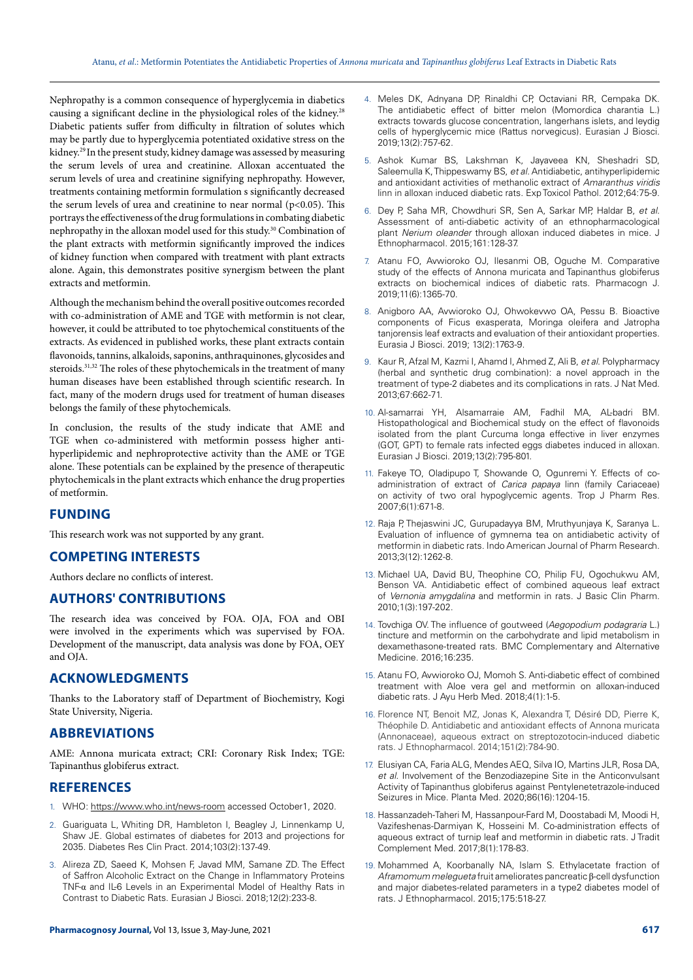Nephropathy is a common consequence of hyperglycemia in diabetics causing a significant decline in the physiological roles of the kidney.28 Diabetic patients suffer from difficulty in filtration of solutes which may be partly due to hyperglycemia potentiated oxidative stress on the kidney.29 In the present study, kidney damage was assessed by measuring the serum levels of urea and creatinine. Alloxan accentuated the serum levels of urea and creatinine signifying nephropathy. However, treatments containing metformin formulation s significantly decreased the serum levels of urea and creatinine to near normal  $(p<0.05)$ . This portrays the effectiveness of the drug formulations in combating diabetic nephropathy in the alloxan model used for this study.30 Combination of the plant extracts with metformin significantly improved the indices of kidney function when compared with treatment with plant extracts alone. Again, this demonstrates positive synergism between the plant extracts and metformin.

Although the mechanism behind the overall positive outcomes recorded with co-administration of AME and TGE with metformin is not clear, however, it could be attributed to toe phytochemical constituents of the extracts. As evidenced in published works, these plant extracts contain flavonoids, tannins, alkaloids, saponins, anthraquinones, glycosides and steroids.<sup>31,32</sup> The roles of these phytochemicals in the treatment of many human diseases have been established through scientific research. In fact, many of the modern drugs used for treatment of human diseases belongs the family of these phytochemicals.

In conclusion, the results of the study indicate that AME and TGE when co-administered with metformin possess higher antihyperlipidemic and nephroprotective activity than the AME or TGE alone. These potentials can be explained by the presence of therapeutic phytochemicals in the plant extracts which enhance the drug properties of metformin.

## **FUNDING**

This research work was not supported by any grant.

## **COMPETING INTERESTS**

Authors declare no conflicts of interest.

## **AUTHORS' CONTRIBUTIONS**

The research idea was conceived by FOA. OJA, FOA and OBI were involved in the experiments which was supervised by FOA. Development of the manuscript, data analysis was done by FOA, OEY and OJA.

### **ACKNOWLEDGMENTS**

Thanks to the Laboratory staff of Department of Biochemistry, Kogi State University, Nigeria.

## **ABBREVIATIONS**

AME: Annona muricata extract; CRI: Coronary Risk Index; TGE: Tapinanthus globiferus extract.

### **REFERENCES**

- 1. WHO:<https://www.who.int/news-room> accessed October1, 2020.
- 2. Guariguata L, Whiting DR, Hambleton I, Beagley J, Linnenkamp U, Shaw JE. Global estimates of diabetes for 2013 and projections for 2035. Diabetes Res Clin Pract. 2014;103(2):137-49.
- 3. Alireza ZD, Saeed K, Mohsen F, Javad MM, Samane ZD. The Effect of Saffron Alcoholic Extract on the Change in Inflammatory Proteins TNF-α and IL-6 Levels in an Experimental Model of Healthy Rats in Contrast to Diabetic Rats. Eurasian J Biosci. 2018;12(2):233-8.
- 4. Meles DK, Adnyana DP, Rinaldhi CP, Octaviani RR, Cempaka DK. The antidiabetic effect of bitter melon (Momordica charantia L.) extracts towards glucose concentration, langerhans islets, and leydig cells of hyperglycemic mice (Rattus norvegicus). Eurasian J Biosci. 2019;13(2):757-62.
- 5. Ashok Kumar BS, Lakshman K, Jayaveea KN, Sheshadri SD, Saleemulla K, Thippeswamy BS, *et al.* Antidiabetic, antihyperlipidemic and antioxidant activities of methanolic extract of *Amaranthus viridis* linn in alloxan induced diabetic rats. Exp Toxicol Pathol. 2012;64:75-9.
- 6. Dey P, Saha MR, Chowdhuri SR, Sen A, Sarkar MP, Haldar B, *et al.* Assessment of anti-diabetic activity of an ethnopharmacological plant *Nerium oleander* through alloxan induced diabetes in mice. J Ethnopharmacol. 2015;161:128-37.
- Atanu FO, Avwioroko OJ, Ilesanmi OB, Oguche M. Comparative study of the effects of Annona muricata and Tapinanthus globiferus extracts on biochemical indices of diabetic rats. Pharmacogn J. 2019;11(6):1365-70.
- 8. Anigboro AA, Avwioroko OJ, Ohwokevwo OA, Pessu B. Bioactive components of Ficus exasperata, Moringa oleifera and Jatropha tanjorensis leaf extracts and evaluation of their antioxidant properties. Eurasia J Biosci. 2019; 13(2):1763-9.
- 9. Kaur R, Afzal M, Kazmi I, Ahamd I, Ahmed Z, Ali B, *et al*. Polypharmacy (herbal and synthetic drug combination): a novel approach in the treatment of type-2 diabetes and its complications in rats. J Nat Med. 2013;67:662-71.
- 10. Al-samarrai YH, Alsamarraie AM, Fadhil MA, AL-badri BM. Histopathological and Biochemical study on the effect of flavonoids isolated from the plant Curcuma longa effective in liver enzymes (GOT, GPT) to female rats infected eggs diabetes induced in alloxan. Eurasian J Biosci. 2019;13(2):795-801.
- 11. Fakeye TO, Oladipupo T, Showande O, Ogunremi Y. Effects of coadministration of extract of *Carica papaya* linn (family Cariaceae) on activity of two oral hypoglycemic agents*.* Trop J Pharm Res. 2007;6(1):671-8.
- 12. Raja P, Thejaswini JC, Gurupadayya BM, Mruthyunjaya K, Saranya L. Evaluation of influence of gymnema tea on antidiabetic activity of metformin in diabetic rats. Indo American Journal of Pharm Research. 2013;3(12):1262-8.
- 13. Michael UA, David BU, Theophine CO, Philip FU, Ogochukwu AM, Benson VA. Antidiabetic effect of combined aqueous leaf extract of *Vernonia amygdalina* and metformin in rats. J Basic Clin Pharm. 2010;1(3):197-202.
- 14. Tovchiga OV. The influence of goutweed (*Aegopodium podagraria* L.) tincture and metformin on the carbohydrate and lipid metabolism in dexamethasone-treated rats. BMC Complementary and Alternative Medicine. 2016;16:235.
- 15. Atanu FO, Avwioroko OJ, Momoh S. Anti-diabetic effect of combined treatment with Aloe vera gel and metformin on alloxan-induced diabetic rats. J Ayu Herb Med. 2018;4(1):1-5.
- 16. Florence NT, Benoit MZ, Jonas K, Alexandra T, Désiré DD, Pierre K, Théophile D. Antidiabetic and antioxidant effects of Annona muricata (Annonaceae), aqueous extract on streptozotocin-induced diabetic rats. J Ethnopharmacol. 2014;151(2):784-90.
- 17. Elusiyan CA, Faria ALG, Mendes AEQ, Silva IO, Martins JLR, Rosa DA, *et al.* Involvement of the Benzodiazepine Site in the Anticonvulsant Activity of Tapinanthus globiferus against Pentylenetetrazole-induced Seizures in Mice. Planta Med. 2020;86(16):1204-15.
- 18. Hassanzadeh-Taheri M, Hassanpour-Fard M, Doostabadi M, Moodi H, Vazifeshenas-Darmiyan K, Hosseini M. Co-administration effects of aqueous extract of turnip leaf and metformin in diabetic rats. J Tradit Complement Med. 2017;8(1):178-83.
- 19. Mohammed A, Koorbanally NA, Islam S. Ethylacetate fraction of *Aframomum melegueta* fruit ameliorates pancreatic β-cell dysfunction and major diabetes-related parameters in a type2 diabetes model of rats. J Ethnopharmacol. 2015;175:518-27.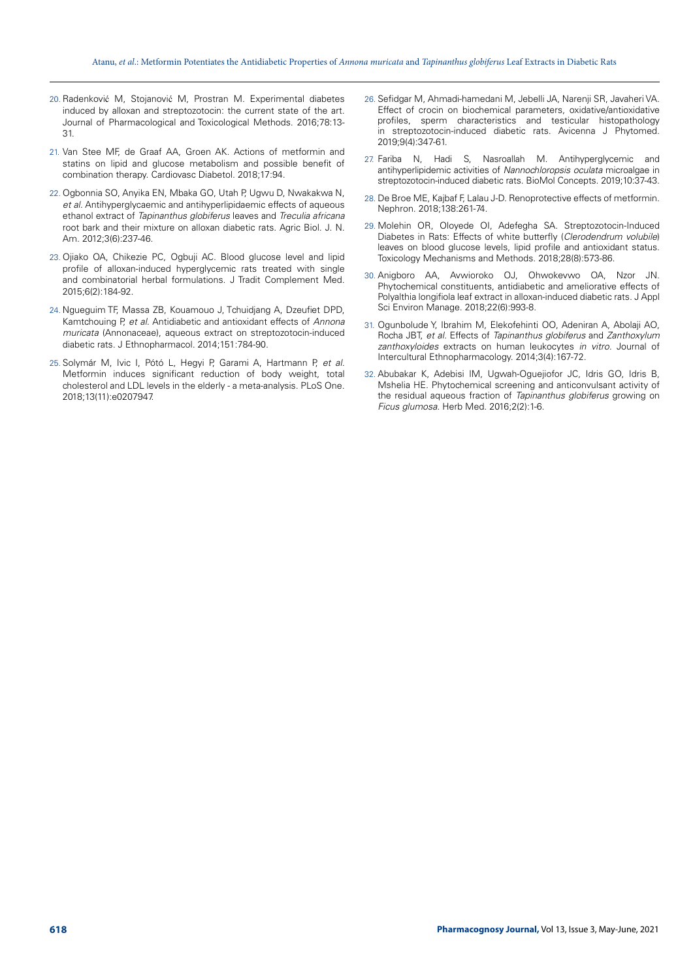- 20. Radenković M, Stojanović M, Prostran M. Experimental diabetes induced by alloxan and streptozotocin: the current state of the art. Journal of Pharmacological and Toxicological Methods. 2016;78:13- 31.
- 21. Van Stee MF, de Graaf AA, Groen AK. Actions of metformin and statins on lipid and glucose metabolism and possible benefit of combination therapy. Cardiovasc Diabetol. 2018;17:94.
- 22. Ogbonnia SO, Anyika EN, Mbaka GO, Utah P, Ugwu D, Nwakakwa N, *et al.* Antihyperglycaemic and antihyperlipidaemic effects of aqueous ethanol extract of *Tapinanthus globiferus* leaves and *Treculia africana*  root bark and their mixture on alloxan diabetic rats. Agric Biol. J. N. Am. 2012;3(6):237-46.
- 23. Ojiako OA, Chikezie PC, Ogbuji AC. Blood glucose level and lipid profile of alloxan-induced hyperglycemic rats treated with single and combinatorial herbal formulations. J Tradit Complement Med. 2015;6(2):184-92.
- 24. Ngueguim TF, Massa ZB, Kouamouo J, Tchuidjang A, Dzeufiet DPD, Kamtchouing P, *et al.* Antidiabetic and antioxidant effects of *Annona muricata* (Annonaceae), aqueous extract on streptozotocin-induced diabetic rats. J Ethnopharmacol. 2014;151:784-90.
- 25. [Solymár M](https://www.ncbi.nlm.nih.gov/pubmed/?term=Solym%C3%A1r M%5BAuthor%5D&cauthor=true&cauthor_uid=30475888), [Ivic I,](https://www.ncbi.nlm.nih.gov/pubmed/?term=Ivic I%5BAuthor%5D&cauthor=true&cauthor_uid=30475888) [Pótó L](https://www.ncbi.nlm.nih.gov/pubmed/?term=P%C3%B3t%C3%B3 L%5BAuthor%5D&cauthor=true&cauthor_uid=30475888), [Hegyi P](https://www.ncbi.nlm.nih.gov/pubmed/?term=Hegyi P%5BAuthor%5D&cauthor=true&cauthor_uid=30475888), [Garami A,](https://www.ncbi.nlm.nih.gov/pubmed/?term=Garami A%5BAuthor%5D&cauthor=true&cauthor_uid=30475888) [Hartmann P](https://www.ncbi.nlm.nih.gov/pubmed/?term=Hartmann P%5BAuthor%5D&cauthor=true&cauthor_uid=30475888), *et al.* Metformin induces significant reduction of body weight, total cholesterol and LDL levels in the elderly - a meta-analysis. [PLoS One.](https://www.ncbi.nlm.nih.gov/pubmed/30475888) 2018;13(11):e0207947.
- 26. Sefidgar M, Ahmadi-hamedani M, Jebelli JA, Narenji SR, Javaheri VA. Effect of crocin on biochemical parameters, oxidative/antioxidative profiles, sperm characteristics and testicular histopathology in streptozotocin-induced diabetic rats. Avicenna J Phytomed. 2019;9(4):347-61.
- 27. Fariba N, Hadi S, Nasroallah M. Antihyperglycemic and antihyperlipidemic activities of *Nannochloropsis oculata* microalgae in streptozotocin-induced diabetic rats. BioMol Concepts. 2019;10:37-43.
- 28. De Broe ME, Kajbaf F, Lalau J-D. Renoprotective effects of metformin. Nephron. 2018;138:261-74.
- 29. Molehin OR, Oloyede OI, Adefegha SA. Streptozotocin-Induced Diabetes in Rats: Effects of white butterfly (*Clerodendrum volubile*) leaves on blood glucose levels, lipid profile and antioxid[an](https://doi.org/10.1080/15376516.2018.1479476)t status. Toxicology Mechanisms and Methods. 2018;28(8):573-86.
- 30. Anigboro AA, Avwioroko OJ, Ohwokevwo OA, Nzor JN. Phytochemical constituents, antidiabetic and ameliorative effects of Polyalthia longifiola leaf extract in alloxan-induced diabetic rats. J Appl Sci Environ Manage. 2018;22(6):993-8.
- 31. Ogunbolude Y, Ibrahim M, Elekofehinti OO, Adeniran A, Abolaji AO, Rocha JBT, *et al.* Effects of *Tapinanthus globiferus* and *Zanthoxylum zanthoxyloides* extracts on human leukocytes *in vitro.* Journal of Intercultural Ethnopharmacology. 2014;3(4):167-72.
- 32. Abubakar K, Adebisi IM, Ugwah-Oguejiofor JC, Idris GO, Idris B, Mshelia HE. Phytochemical screening and anticonvulsant activity of the residual aqueous fraction of *Tapinanthus globiferus* growing on *Ficus glumosa.* Herb Med. 2016;2(2):1-6.